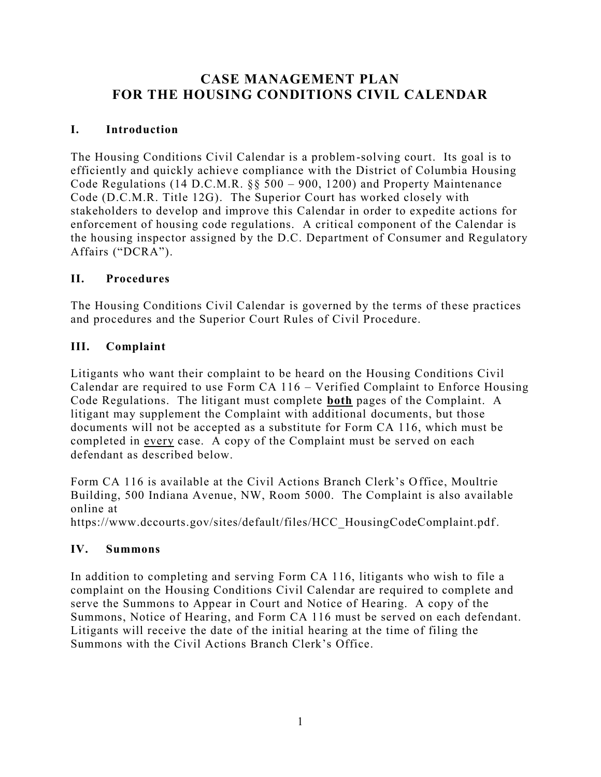# **CASE MANAGEMENT PLAN FOR THE HOUSING CONDITIONS CIVIL CALENDAR**

#### **I. Introduction**

The Housing Conditions Civil Calendar is a problem-solving court. Its goal is to efficiently and quickly achieve compliance with the District of Columbia Housing Code Regulations (14 D.C.M.R. §§ 500 – 900, 1200) and Property Maintenance Code (D.C.M.R. Title 12G). The Superior Court has worked closely with stakeholders to develop and improve this Calendar in order to expedite actions for enforcement of housing code regulations. A critical component of the Calendar is the housing inspector assigned by the D.C. Department of Consumer and Regulatory Affairs ("DCRA").

#### **II. Procedures**

The Housing Conditions Civil Calendar is governed by the terms of these practices and procedures and the Superior Court Rules of Civil Procedure.

#### **III. Complaint**

Litigants who want their complaint to be heard on the Housing Conditions Civil Calendar are required to use Form CA 116 – Verified Complaint to Enforce Housing Code Regulations. The litigant must complete **both** pages of the Complaint. A litigant may supplement the Complaint with additional documents, but those documents will not be accepted as a substitute for Form CA 116, which must be completed in every case. A copy of the Complaint must be served on each defendant as described below.

Form CA 116 is available at the Civil Actions Branch Clerk's Office, Moultrie Building, 500 Indiana Avenue, NW, Room 5000. The Complaint is also available online at

https://www.dccourts.gov/sites/default/files/HCC\_HousingCodeComplaint.pdf.

#### **IV. Summons**

In addition to completing and serving Form CA 116, litigants who wish to file a complaint on the Housing Conditions Civil Calendar are required to complete and serve the Summons to Appear in Court and Notice of Hearing. A copy of the Summons, Notice of Hearing, and Form CA 116 must be served on each defendant. Litigants will receive the date of the initial hearing at the time of filing the Summons with the Civil Actions Branch Clerk's Office.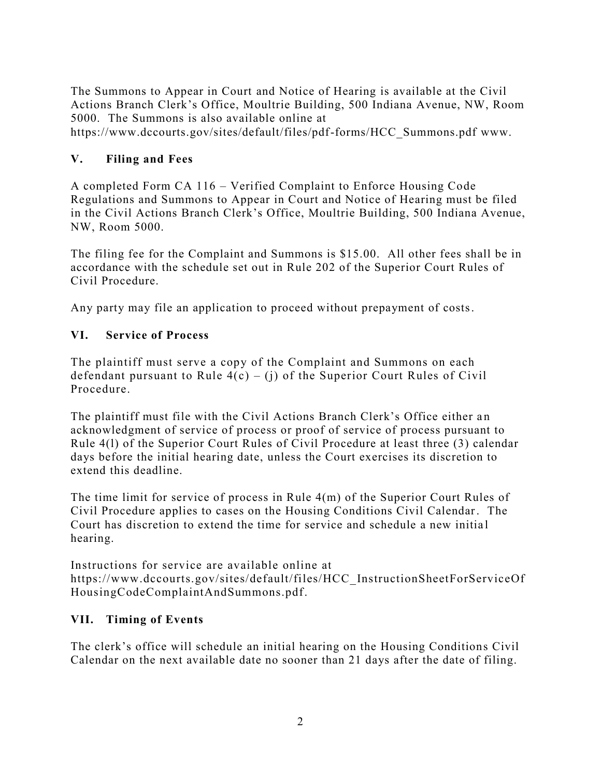The Summons to Appear in Court and Notice of Hearing is available at the Civil Actions Branch Clerk's Office, Moultrie Building, 500 Indiana Avenue, NW, Room 5000. The Summons is also available online at

https://www.dccourts.gov/sites/default/files/pdf-forms/HCC\_Summons.pdf www.

#### **V. Filing and Fees**

A completed Form CA 116 – Verified Complaint to Enforce Housing Code Regulations and Summons to Appear in Court and Notice of Hearing must be filed in the Civil Actions Branch Clerk's Office, Moultrie Building, 500 Indiana Avenue, NW, Room 5000.

The filing fee for the Complaint and Summons is \$15.00. All other fees shall be in accordance with the schedule set out in Rule 202 of the Superior Court Rules of Civil Procedure.

Any party may file an application to proceed without prepayment of costs.

### **VI. Service of Process**

The plaintiff must serve a copy of the Complaint and Summons on each defendant pursuant to Rule  $4(c) - (j)$  of the Superior Court Rules of Civil Procedure.

The plaintiff must file with the Civil Actions Branch Clerk's Office either an acknowledgment of service of process or proof of service of process pursuant to Rule 4(l) of the Superior Court Rules of Civil Procedure at least three (3) calendar days before the initial hearing date, unless the Court exercises its discretion to extend this deadline.

The time limit for service of process in Rule 4(m) of the Superior Court Rules of Civil Procedure applies to cases on the Housing Conditions Civil Calendar. The Court has discretion to extend the time for service and schedule a new initia l hearing.

Instructions for service are available online at https://www.dccourts.gov/sites/default/files/HCC\_InstructionSheetForServiceOf HousingCodeComplaintAndSummons.pdf.

### **VII. Timing of Events**

The clerk's office will schedule an initial hearing on the Housing Conditions Civil Calendar on the next available date no sooner than 21 days after the date of filing.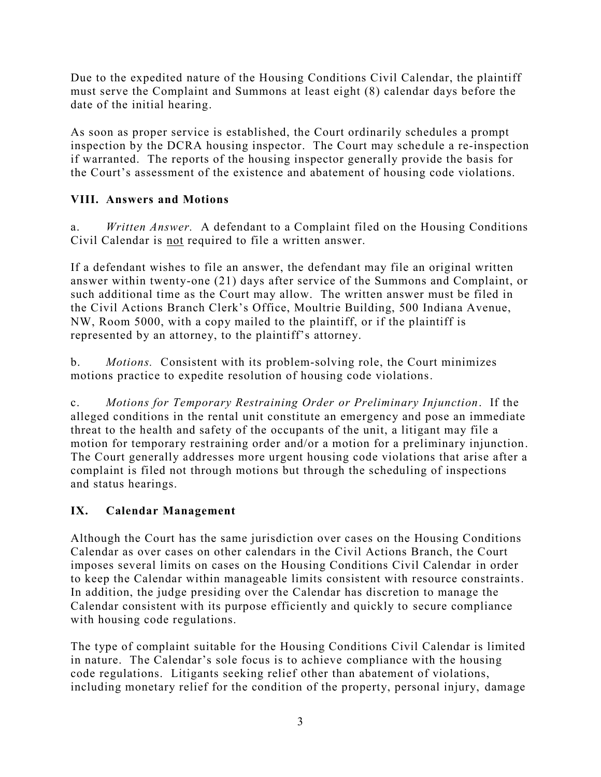Due to the expedited nature of the Housing Conditions Civil Calendar, the plaintiff must serve the Complaint and Summons at least eight (8) calendar days before the date of the initial hearing.

As soon as proper service is established, the Court ordinarily schedules a prompt inspection by the DCRA housing inspector. The Court may sche dule a re-inspection if warranted. The reports of the housing inspector generally provide the basis for the Court's assessment of the existence and abatement of housing code violations.

## **VIII. Answers and Motions**

a. *Written Answer.* A defendant to a Complaint filed on the Housing Conditions Civil Calendar is not required to file a written answer.

If a defendant wishes to file an answer, the defendant may file an original written answer within twenty-one (21) days after service of the Summons and Complaint, or such additional time as the Court may allow. The written answer must be filed in the Civil Actions Branch Clerk's Office, Moultrie Building, 500 Indiana Avenue, NW, Room 5000, with a copy mailed to the plaintiff, or if the plaintiff is represented by an attorney, to the plaintiff's attorney.

b. *Motions.* Consistent with its problem-solving role, the Court minimizes motions practice to expedite resolution of housing code violations.

c. *Motions for Temporary Restraining Order or Preliminary Injunction*. If the alleged conditions in the rental unit constitute an emergency and pose an immediate threat to the health and safety of the occupants of the unit, a litigant may file a motion for temporary restraining order and/or a motion for a preliminary injunction. The Court generally addresses more urgent housing code violations that arise after a complaint is filed not through motions but through the scheduling of inspections and status hearings.

### **IX. Calendar Management**

Although the Court has the same jurisdiction over cases on the Housing Conditions Calendar as over cases on other calendars in the Civil Actions Branch, the Court imposes several limits on cases on the Housing Conditions Civil Calendar in order to keep the Calendar within manageable limits consistent with resource constraints. In addition, the judge presiding over the Calendar has discretion to manage the Calendar consistent with its purpose efficiently and quickly to secure compliance with housing code regulations.

The type of complaint suitable for the Housing Conditions Civil Calendar is limited in nature. The Calendar's sole focus is to achieve compliance with the housing code regulations. Litigants seeking relief other than abatement of violations, including monetary relief for the condition of the property, personal injury, damage